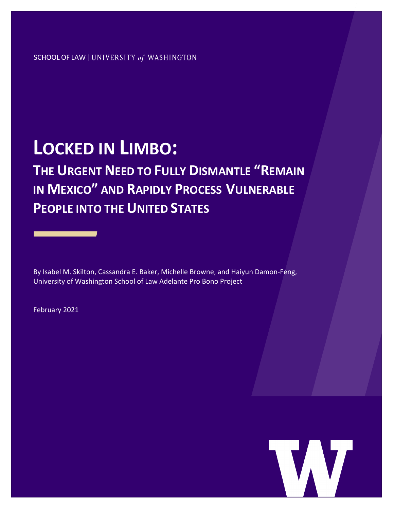#### SCHOOL OF LAW | UNIVERSITY of WASHINGTON

# **LOCKED IN LIMBO:**

**THE URGENT NEED TO FULLY DISMANTLE "REMAIN IN MEXICO" AND RAPIDLY PROCESS VULNERABLE PEOPLE INTO THE UNITED STATES**

By Isabel M. Skilton, Cassandra E. Baker, Michelle Browne, and Haiyun Damon-Feng, University of Washington School of Law Adelante Pro Bono Project

February 2021

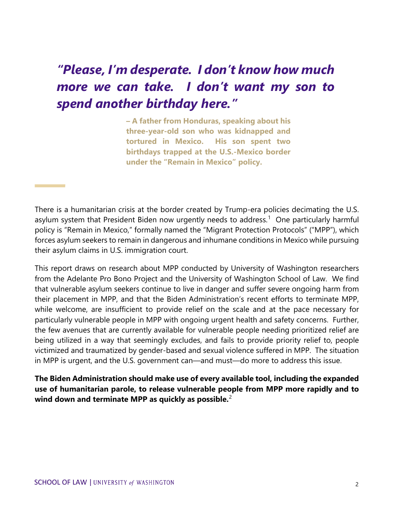## *"Please, I'm desperate. I don't know how much more we can take. I don't want my son to spend another birthday here."*

**– A father from Honduras, speaking about his three-year-old son who was kidnapped and tortured in Mexico. His son spent two birthdays trapped at the U.S.-Mexico border under the "Remain in Mexico" policy.**

There is a humanitarian crisis at the border created by Trump-era policies decimating the U.S. asylum system that President Biden now urgently needs to address.<sup>[1](#page-8-0)</sup> One particularly harmful policy is "Remain in Mexico," formally named the "Migrant Protection Protocols" ("MPP"), which forces asylum seekers to remain in dangerous and inhumane conditions in Mexico while pursuing their asylum claims in U.S. immigration court.

This report draws on research about MPP conducted by University of Washington researchers from the Adelante Pro Bono Project and the University of Washington School of Law. We find that vulnerable asylum seekers continue to live in danger and suffer severe ongoing harm from their placement in MPP, and that the Biden Administration's recent efforts to terminate MPP, while welcome, are insufficient to provide relief on the scale and at the pace necessary for particularly vulnerable people in MPP with ongoing urgent health and safety concerns. Further, the few avenues that are currently available for vulnerable people needing prioritized relief are being utilized in a way that seemingly excludes, and fails to provide priority relief to, people victimized and traumatized by gender-based and sexual violence suffered in MPP. The situation in MPP is urgent, and the U.S. government can—and must—do more to address this issue.

**The Biden Administration should make use of every available tool, including the expanded use of humanitarian parole, to release vulnerable people from MPP more rapidly and to wind down and terminate MPP as quickly as possible.**[2](#page-9-0)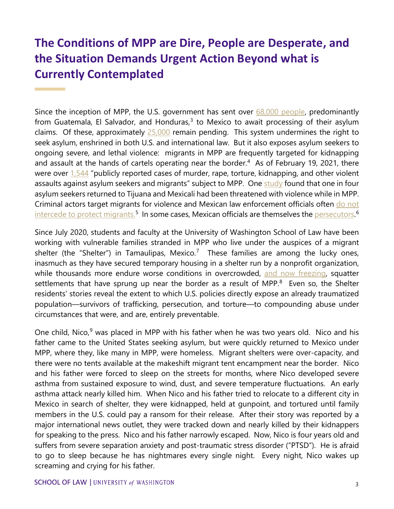#### **The Conditions of MPP are Dire, People are Desperate, and the Situation Demands Urgent Action Beyond what is Currently Contemplated**

Since the inception of MPP, the U.S. government has sent over  $68,000$  people, predominantly from Guatemala, El Salvador, and Honduras, $3$  to Mexico to await processing of their asylum claims. Of these, approximately  $25,000$  remain pending. This system undermines the right to seek asylum, enshrined in both U.S. and international law. But it also exposes asylum seekers to ongoing severe, and lethal violence: migrants in MPP are frequently targeted for kidnapping and assault at the hands of cartels operating near the border.<sup>[4](#page-9-2)</sup> As of February 19, 2021, there were over [1,544](https://www.humanrightsfirst.org/campaign/remain-mexico) "publicly reported cases of murder, rape, torture, kidnapping, and other violent assaults against asylum seekers and migrants" subject to MPP. One [study](https://usipc.ucsd.edu/publications/usipc-seeking-asylum-part-2-final.pdf?fbclid=IwAR07M_jP1Wy8KIn85d0jnw0Kobiz-MR7XeAIT77c9afuRInkd7sHL21FE1Q) found that one in four asylum seekers returned to Tijuana and Mexicali had been threatened with violence while in MPP. Criminal actors target migrants for violence and Mexican law enforcement officials often do not [intercede to protect migrants.](https://www.hrw.org/news/2020/06/02/us-investigate-remain-mexico-program)<sup>[5](#page-9-3)</sup> In some cases, Mexican officials are themselves the <u>persecutors.</u>[6](#page-9-4)

Since July 2020, students and faculty at the University of Washington School of Law have been working with vulnerable families stranded in MPP who live under the auspices of a migrant shelter (the "Shelter") in Tamaulipas, Mexico.<sup>[7](#page-9-5)</sup> These families are among the lucky ones, inasmuch as they have secured temporary housing in a shelter run by a nonprofit organization, while thousands more endure worse conditions in overcrowded, [and now freezing,](https://www.dallasnews.com/news/immigration/2021/02/15/freezing-weather-hits-matamoros-migrant-camp-where-asylum-seekers-are-days-away-from-us-entry/) squatter settlements that have sprung up near the border as a result of MPP.<sup>[8](#page-10-0)</sup> Even so, the Shelter residents' stories reveal the extent to which U.S. policies directly expose an already traumatized population—survivors of trafficking, persecution, and torture—to compounding abuse under circumstances that were, and are, entirely preventable.

One child, Nico, $9$  was placed in MPP with his father when he was two years old. Nico and his father came to the United States seeking asylum, but were quickly returned to Mexico under MPP, where they, like many in MPP, were homeless. Migrant shelters were over-capacity, and there were no tents available at the makeshift migrant tent encampment near the border. Nico and his father were forced to sleep on the streets for months, where Nico developed severe asthma from sustained exposure to wind, dust, and severe temperature fluctuations. An early asthma attack nearly killed him. When Nico and his father tried to relocate to a different city in Mexico in search of shelter, they were kidnapped, held at gunpoint, and tortured until family members in the U.S. could pay a ransom for their release. After their story was reported by a major international news outlet, they were tracked down and nearly killed by their kidnappers for speaking to the press. Nico and his father narrowly escaped. Now, Nico is four years old and suffers from severe separation anxiety and post-traumatic stress disorder ("PTSD"). He is afraid to go to sleep because he has nightmares every single night. Every night, Nico wakes up screaming and crying for his father.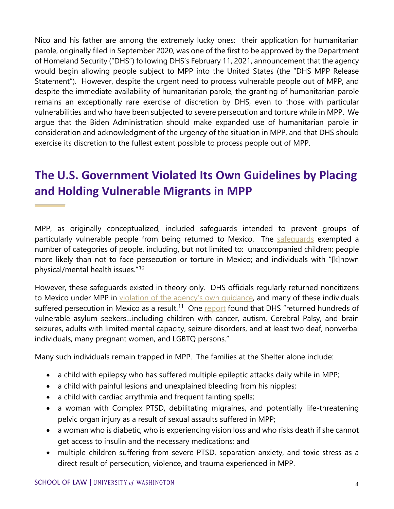Nico and his father are among the extremely lucky ones: their application for humanitarian parole, originally filed in September 2020, was one of the first to be approved by the Department of Homeland Security ("DHS") following DHS's February 11, 2021, announcement that the agency would begin allowing people subject to MPP into the United States (the "DHS MPP Release Statement"). However, despite the urgent need to process vulnerable people out of MPP, and despite the immediate availability of humanitarian parole, the granting of humanitarian parole remains an exceptionally rare exercise of discretion by DHS, even to those with particular vulnerabilities and who have been subjected to severe persecution and torture while in MPP. We argue that the Biden Administration should make expanded use of humanitarian parole in consideration and acknowledgment of the urgency of the situation in MPP, and that DHS should exercise its discretion to the fullest extent possible to process people out of MPP.

#### **The U.S. Government Violated Its Own Guidelines by Placing and Holding Vulnerable Migrants in MPP**

MPP, as originally conceptualized, included safeguards intended to prevent groups of particularly vulnerable people from being returned to Mexico. The safequards exempted a number of categories of people, including, but not limited to: unaccompanied children; people more likely than not to face persecution or torture in Mexico; and individuals with "[k]nown physical/mental health issues."[10](#page-10-2)

However, these safeguards existed in theory only. DHS officials regularly returned noncitizens to Mexico under MPP in [violation of the agency's own guidance,](https://www.humanrightsfirst.org/campaign/remain-mexico) and many of these individuals suffered persecution in Mexico as a result.<sup>11</sup> One [report](https://www.humanrightsfirst.org/sites/default/files/Delivered-to-Danger-August-2019%20.pdf) found that DHS "returned hundreds of vulnerable asylum seekers…including children with cancer, autism, Cerebral Palsy, and brain seizures, adults with limited mental capacity, seizure disorders, and at least two deaf, nonverbal individuals, many pregnant women, and LGBTQ persons."

Many such individuals remain trapped in MPP. The families at the Shelter alone include:

- a child with epilepsy who has suffered multiple epileptic attacks daily while in MPP;
- a child with painful lesions and unexplained bleeding from his nipples;
- a child with cardiac arrythmia and frequent fainting spells;
- a woman with Complex PTSD, debilitating migraines, and potentially life-threatening pelvic organ injury as a result of sexual assaults suffered in MPP;
- a woman who is diabetic, who is experiencing vision loss and who risks death if she cannot get access to insulin and the necessary medications; and
- multiple children suffering from severe PTSD, separation anxiety, and toxic stress as a direct result of persecution, violence, and trauma experienced in MPP.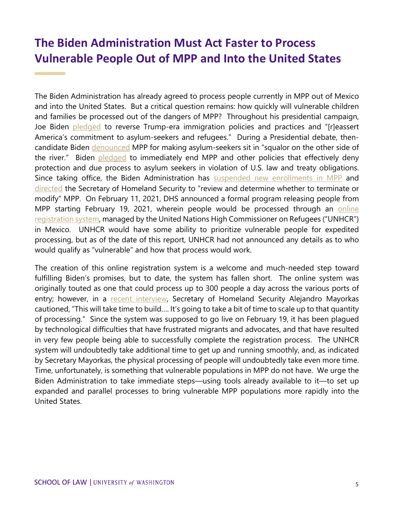#### **The Biden Administration Must Act Faster to Process Vulnerable People Out of MPP and Into the United States**

The Biden Administration has already agreed to process people currently in MPP out of Mexico and into the United States. But a critical question remains: how quickly will vulnerable children and families be processed out of the dangers of MPP? Throughout his presidential campaign, Joe Biden [pledged](https://joebiden.com/immigration/) to reverse Trump-era immigration policies and practices and "[r]eassert America's commitment to asylum-seekers and refugees." During a Presidential debate, thencandidate Biden [denounced](https://www.pri.org/stories/2021-01-12/why-biden-s-day-one-promise-end-remain-mexico-program-may-go-unfilled) MPP for making asylum-seekers sit in "squalor on the other side of the river." Biden [pledged](https://joebiden.com/immigration/) to immediately end MPP and other policies that effectively deny protection and due process to asylum seekers in violation of U.S. law and treaty obligations. Since taking office, the Biden Administration has [suspended new enrollments in MPP](https://www.dhs.gov/news/2021/01/20/dhs-statement-suspension-new-enrollments-migrant-protection-protocols-program) and [directed](https://www.whitehouse.gov/briefing-room/presidential-actions/2021/02/02/executive-order-creating-a-comprehensive-regional-framework-to-address-the-causes-of-migration-to-manage-migration-throughout-north-and-central-america-and-to-provide-safe-and-orderly-processing/) the Secretary of Homeland Security to "review and determine whether to terminate or modify" MPP. On February 11, 2021, DHS announced a formal program releasing people from MPP starting February 19, 2021, wherein people would be processed through an online [registration system,](https://www.dhs.gov/news/2021/02/11/dhs-announces-process-address-individuals-mexico-active-mpp-cases) managed by the United Nations High Commissioner on Refugees ("UNHCR") in Mexico. UNHCR would have some ability to prioritize vulnerable people for expedited processing, but as of the date of this report, UNHCR had not announced any details as to who would qualify as "vulnerable" and how that process would work.

The creation of this online registration system is a welcome and much-needed step toward fulfilling Biden's promises, but to date, the system has fallen short. The online system was originally touted as one that could process up to 300 people a day across the various ports of entry; however, in a [recent interview,](https://www.npr.org/2021/02/12/967260409/biden-administrations-asylum-system-to-replace-trumps-remain-in-mexico) Secretary of Homeland Security Alejandro Mayorkas cautioned, "This will take time to build…. It's going to take a bit of time to scale up to that quantity of processing." Since the system was supposed to go live on February 19, it has been plagued by technological difficulties that have frustrated migrants and advocates, and that have resulted in very few people being able to successfully complete the registration process. The UNHCR system will undoubtedly take additional time to get up and running smoothly, and, as indicated by Secretary Mayorkas, the physical processing of people will undoubtedly take even more time. Time, unfortunately, is something that vulnerable populations in MPP do not have. We urge the Biden Administration to take immediate steps—using tools already available to it—to set up expanded and parallel processes to bring vulnerable MPP populations more rapidly into the United States.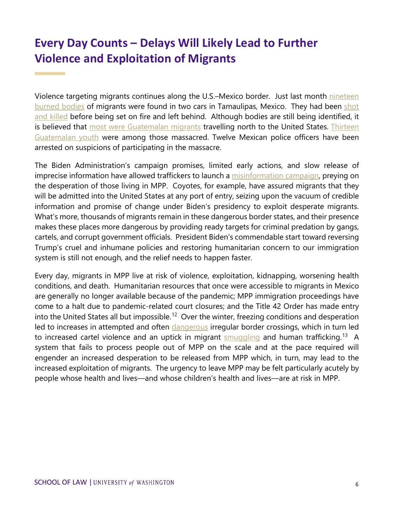#### **Every Day Counts – Delays Will Likely Lead to Further Violence and Exploitation of Migrants**

Violence targeting migrants continues along the U.S.–Mexico border. Just last month [nineteen](https://www.bbc.com/news/world-latin-america-55796376)  [burned bodies](https://www.bbc.com/news/world-latin-america-55796376) of migrants were found in two cars in Tamaulipas, Mexico. They had been [shot](https://insightcrime.org/news/us-trained-police-mexico-migrant-massacre/)  [and killed](https://insightcrime.org/news/us-trained-police-mexico-migrant-massacre/) before being set on fire and left behind. Although bodies are still being identified, it is believed that [most were Guatemalan migrants](https://www.chicagotribune.com/espanol/sns-es-mexico-identifica-a-5-guatemaltecos-asesinados-en-tamaulipas-20210205-ar7hxzygfzfgnaexyj36yoxqjq-story.html) travelling north to the United States. Thirteen [Guatemalan youth](https://www.latimes.com/espanol/internacional/articulo/2021-02-01/guatemalan-migrants-killed-in-mexico) were among those massacred. Twelve Mexican police officers have been arrested on suspicions of participating in the massacre.

The Biden Administration's campaign promises, limited early actions, and slow release of imprecise information have allowed traffickers to launch a [misinformation campaign,](https://www.telemundo.com/noticias/noticias-telemundo/inmigracion/la-llegada-de-migrantes-la-frontera-alcanza-cifras-record-y-los-coyotes-aprovechan-la-tmna3865330) preying on the desperation of those living in MPP. Coyotes, for example, have assured migrants that they will be admitted into the United States at any port of entry, seizing upon the vacuum of credible information and promise of change under Biden's presidency to exploit desperate migrants. What's more, thousands of migrants remain in these dangerous border states, and their presence makes these places more dangerous by providing ready targets for criminal predation by gangs, cartels, and corrupt government officials. President Biden's commendable start toward reversing Trump's cruel and inhumane policies and restoring humanitarian concern to our immigration system is still not enough, and the relief needs to happen faster.

Every day, migrants in MPP live at risk of violence, exploitation, kidnapping, worsening health conditions, and death. Humanitarian resources that once were accessible to migrants in Mexico are generally no longer available because of the pandemic; MPP immigration proceedings have come to a halt due to pandemic-related court closures; and the Title 42 Order has made entry into the United States all but impossible.<sup>[12](#page-10-4)</sup> Over the winter, freezing conditions and desperation led to increases in attempted and often [dangerous](https://www.theguardian.com/world/2021/feb/19/eight-year-old-honduran-boy-dies-river-us-mexico-border) irregular border crossings, which in turn led to increased cartel violence and an uptick in migrant  $smuqqling$  and human trafficking.<sup>13</sup> A system that fails to process people out of MPP on the scale and at the pace required will engender an increased desperation to be released from MPP which, in turn, may lead to the increased exploitation of migrants. The urgency to leave MPP may be felt particularly acutely by people whose health and lives—and whose children's health and lives—are at risk in MPP.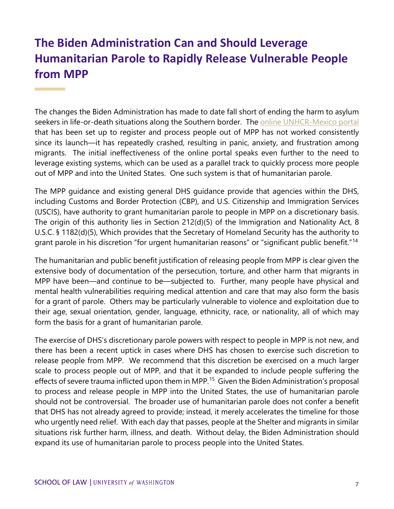#### **The Biden Administration Can and Should Leverage Humanitarian Parole to Rapidly Release Vulnerable People from MPP**

The changes the Biden Administration has made to date fall short of ending the harm to asylum seekers in life-or-death situations along the Southern border. The online [UNHCR-Mexico](https://conecta.acnur.org/) portal that has been set up to register and process people out of MPP has not worked consistently since its launch—it has repeatedly crashed, resulting in panic, anxiety, and frustration among migrants. The initial ineffectiveness of the online portal speaks even further to the need to leverage existing systems, which can be used as a parallel track to quickly process more people out of MPP and into the United States. One such system is that of humanitarian parole.

The MPP guidance and existing general DHS guidance provide that agencies within the DHS, including Customs and Border Protection (CBP), and U.S. Citizenship and Immigration Services (USCIS), have authority to grant humanitarian parole to people in MPP on a discretionary basis. The origin of this authority lies in Section 212(d)(5) of the Immigration and Nationality Act, 8 U.S.C. § 1182(d)(5), Which provides that the Secretary of Homeland Security has the authority to grant parole in his discretion "for urgent humanitarian reasons" or "significant public benefit."[14](#page-10-6)

The humanitarian and public benefit justification of releasing people from MPP is clear given the extensive body of documentation of the persecution, torture, and other harm that migrants in MPP have been—and continue to be—subjected to. Further, many people have physical and mental health vulnerabilities requiring medical attention and care that may also form the basis for a grant of parole. Others may be particularly vulnerable to violence and exploitation due to their age, sexual orientation, gender, language, ethnicity, race, or nationality, all of which may form the basis for a grant of humanitarian parole.

The exercise of DHS's discretionary parole powers with respect to people in MPP is not new, and there has been a recent uptick in cases where DHS has chosen to exercise such discretion to release people from MPP. We recommend that this discretion be exercised on a much larger scale to process people out of MPP, and that it be expanded to include people suffering the effects of severe trauma inflicted upon them in MPP.<sup>15</sup> Given the Biden Administration's proposal to process and release people in MPP into the United States, the use of humanitarian parole should not be controversial. The broader use of humanitarian parole does not confer a benefit that DHS has not already agreed to provide; instead, it merely accelerates the timeline for those who urgently need relief. With each day that passes, people at the Shelter and migrants in similar situations risk further harm, illness, and death. Without delay, the Biden Administration should expand its use of humanitarian parole to process people into the United States.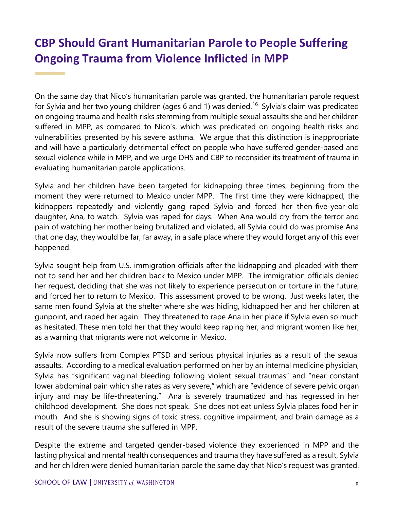### **CBP Should Grant Humanitarian Parole to People Suffering Ongoing Trauma from Violence Inflicted in MPP**

On the same day that Nico's humanitarian parole was granted, the humanitarian parole request for Sylvia and her two young children (ages 6 and 1) was denied.<sup>16</sup> Sylvia's claim was predicated on ongoing trauma and health risks stemming from multiple sexual assaults she and her children suffered in MPP, as compared to Nico's, which was predicated on ongoing health risks and vulnerabilities presented by his severe asthma. We argue that this distinction is inappropriate and will have a particularly detrimental effect on people who have suffered gender-based and sexual violence while in MPP, and we urge DHS and CBP to reconsider its treatment of trauma in evaluating humanitarian parole applications.

Sylvia and her children have been targeted for kidnapping three times, beginning from the moment they were returned to Mexico under MPP. The first time they were kidnapped, the kidnappers repeatedly and violently gang raped Sylvia and forced her then-five-year-old daughter, Ana, to watch. Sylvia was raped for days. When Ana would cry from the terror and pain of watching her mother being brutalized and violated, all Sylvia could do was promise Ana that one day, they would be far, far away, in a safe place where they would forget any of this ever happened.

Sylvia sought help from U.S. immigration officials after the kidnapping and pleaded with them not to send her and her children back to Mexico under MPP. The immigration officials denied her request, deciding that she was not likely to experience persecution or torture in the future, and forced her to return to Mexico. This assessment proved to be wrong. Just weeks later, the same men found Sylvia at the shelter where she was hiding, kidnapped her and her children at gunpoint, and raped her again. They threatened to rape Ana in her place if Sylvia even so much as hesitated. These men told her that they would keep raping her, and migrant women like her, as a warning that migrants were not welcome in Mexico.

Sylvia now suffers from Complex PTSD and serious physical injuries as a result of the sexual assaults. According to a medical evaluation performed on her by an internal medicine physician, Sylvia has "significant vaginal bleeding following violent sexual traumas" and "near constant lower abdominal pain which she rates as very severe," which are "evidence of severe pelvic organ injury and may be life-threatening." Ana is severely traumatized and has regressed in her childhood development. She does not speak. She does not eat unless Sylvia places food her in mouth. And she is showing signs of toxic stress, cognitive impairment, and brain damage as a result of the severe trauma she suffered in MPP.

Despite the extreme and targeted gender-based violence they experienced in MPP and the lasting physical and mental health consequences and trauma they have suffered as a result, Sylvia and her children were denied humanitarian parole the same day that Nico's request was granted.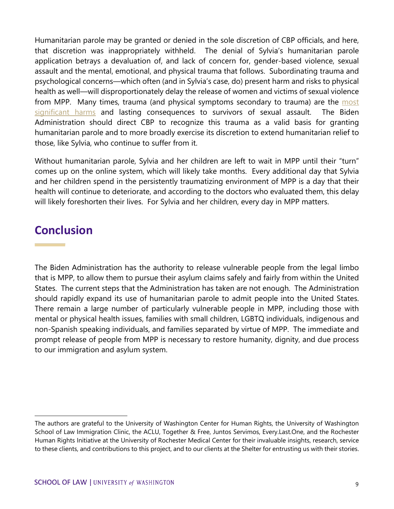Humanitarian parole may be granted or denied in the sole discretion of CBP officials, and here, that discretion was inappropriately withheld. The denial of Sylvia's humanitarian parole application betrays a devaluation of, and lack of concern for, gender-based violence, sexual assault and the mental, emotional, and physical trauma that follows. Subordinating trauma and psychological concerns—which often (and in Sylvia's case, do) present harm and risks to physical health as well—will disproportionately delay the release of women and victims of sexual violence from MPP. Many times, trauma (and physical symptoms secondary to trauma) are the most [significant harms](https://www.rainn.org/effects-sexual-violence) and lasting consequences to survivors of sexual assault. The Biden Administration should direct CBP to recognize this trauma as a valid basis for granting humanitarian parole and to more broadly exercise its discretion to extend humanitarian relief to those, like Sylvia, who continue to suffer from it.

Without humanitarian parole, Sylvia and her children are left to wait in MPP until their "turn" comes up on the online system, which will likely take months. Every additional day that Sylvia and her children spend in the persistently traumatizing environment of MPP is a day that their health will continue to deteriorate, and according to the doctors who evaluated them, this delay will likely foreshorten their lives. For Sylvia and her children, every day in MPP matters.

#### **Conclusion**

The Biden Administration has the authority to release vulnerable people from the legal limbo that is MPP, to allow them to pursue their asylum claims safely and fairly from within the United States. The current steps that the Administration has taken are not enough. The Administration should rapidly expand its use of humanitarian parole to admit people into the United States. There remain a large number of particularly vulnerable people in MPP, including those with mental or physical health issues, families with small children, LGBTQ individuals, indigenous and non-Spanish speaking individuals, and families separated by virtue of MPP. The immediate and prompt release of people from MPP is necessary to restore humanity, dignity, and due process to our immigration and asylum system.

<span id="page-8-0"></span>The authors are grateful to the University of Washington Center for Human Rights, the University of Washington School of Law Immigration Clinic, the ACLU, Together & Free, Juntos Servimos, Every.Last.One, and the Rochester Human Rights Initiative at the University of Rochester Medical Center for their invaluable insights, research, service to these clients, and contributions to this project, and to our clients at the Shelter for entrusting us with their stories.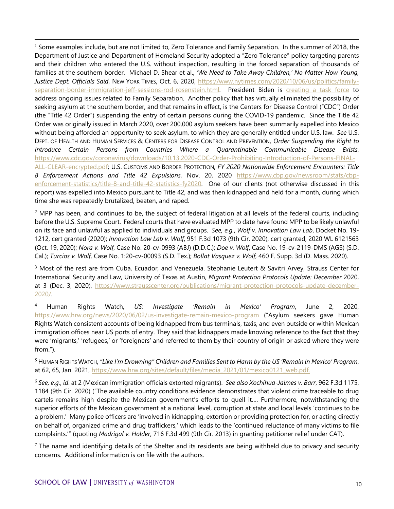$1$  Some examples include, but are not limited to, Zero Tolerance and Family Separation. In the summer of 2018, the Department of Justice and Department of Homeland Security adopted a "Zero Tolerance" policy targeting parents and their children who entered the U.S. without inspection, resulting in the forced separation of thousands of families at the southern border. Michael D. Shear et al., *'We Need to Take Away Children,' No Matter How Young, Justice Dept. Officials Said*, NEW YORK TIMES, Oct. 6, 2020, [https://www.nytimes.com/2020/10/06/us/politics/family](https://www.nytimes.com/2020/10/06/us/politics/family-separation-border-immigration-jeff-sessions-rod-rosenstein.html)[separation-border-immigration-jeff-sessions-rod-rosenstein.html.](https://www.nytimes.com/2020/10/06/us/politics/family-separation-border-immigration-jeff-sessions-rod-rosenstein.html) President Biden is [creating a task force](https://www.whitehouse.gov/briefing-room/presidential-actions/2021/02/02/executive-order-the-establishment-of-interagency-task-force-on-the-reunification-of-families/) to address ongoing issues related to Family Separation. Another policy that has virtually eliminated the possibility of seeking asylum at the southern border, and that remains in effect, is the Centers for Disease Control ("CDC") Order (the "Title 42 Order") suspending the entry of certain persons during the COVID-19 pandemic. Since the Title 42 Order was originally issued in March 2020, over 200,000 asylum seekers have been summarily expelled into Mexico without being afforded an opportunity to seek asylum, to which they are generally entitled under U.S. law. *See* U.S. DEPT. OF HEALTH AND HUMAN SERVICES & CENTERS FOR DISEASE CONTROL AND PREVENTION, *Order Suspending the Right to Introduce Certain Persons from Countries Where a Quarantinable Communicable Disease Exists*, [https://www.cdc.gov/coronavirus/downloads/10.13.2020-CDC-Order-Prohibiting-Introduction-of-Persons-FINAL-](https://www.cdc.gov/coronavirus/downloads/10.13.2020-CDC-Order-Prohibiting-Introduction-of-Persons-FINAL-ALL-CLEAR-encrypted.pdf)[ALL-CLEAR-encrypted.pdf;](https://www.cdc.gov/coronavirus/downloads/10.13.2020-CDC-Order-Prohibiting-Introduction-of-Persons-FINAL-ALL-CLEAR-encrypted.pdf) U.S. CUSTOMS AND BORDER PROTECTION, *FY 2020 Nationwide Enforcement Encounters: Title 8 Enforcement Actions and Title 42 Expulsions*, Nov. 20, 2020 [https://www.cbp.gov/newsroom/stats/cbp](https://www.cbp.gov/newsroom/stats/cbp-enforcement-statistics/title-8-and-title-42-statistics-fy2020)[enforcement-statistics/title-8-and-title-42-statistics-fy2020.](https://www.cbp.gov/newsroom/stats/cbp-enforcement-statistics/title-8-and-title-42-statistics-fy2020) One of our clients (not otherwise discussed in this report) was expelled into Mexico pursuant to Title 42, and was then kidnapped and held for a month, during which time she was repeatedly brutalized, beaten, and raped.

<span id="page-9-0"></span> $2$  MPP has been, and continues to be, the subject of federal litigation at all levels of the federal courts, including before the U.S. Supreme Court. Federal courts that have evaluated MPP to date have found MPP to be likely unlawful on its face and unlawful as applied to individuals and groups. *See, e.g.*, *Wolf v. Innovation Law Lab*, Docket No. 19- 1212, cert granted (2020); *Innovation Law Lab v. Wolf*, 951 F.3d 1073 (9th Cir. 2020), cert granted, 2020 WL 6121563 (Oct. 19, 2020); *Nora v. Wolf*, Case No. 20-cv-0993 (ABJ) (D.D.C.); *Doe v. Wolf*, Case No. 19-cv-2119-DMS (AGS) (S.D. Cal.); *Turcios v. Wolf*, Case No. 1:20-cv-00093 (S.D. Tex.); *Bollat Vasquez v. Wolf*, 460 F. Supp. 3d (D. Mass. 2020).

<span id="page-9-1"></span><sup>3</sup> Most of the rest are from Cuba, Ecuador, and Venezuela. Stephanie Leutert & Savitri Arvey, Strauss Center for International Security and Law, University of Texas at Austin, *Migrant Protection Protocols Update: December* 2020, at 3 (Dec. 3, 2020), [https://www.strausscenter.org/publications/migrant-protection-protocols-update-december-](https://www.strausscenter.org/publications/migrant-protection-protocols-update-december-2020/)[2020/.](https://www.strausscenter.org/publications/migrant-protection-protocols-update-december-2020/)

<span id="page-9-2"></span><sup>4</sup> Human Rights Watch, *US: Investigate 'Remain in Mexico' Program*, June 2, 2020, https://www.hrw.org/news/2020/06/02/us-investigate-remain-mexico-program ("Asylum seekers gave Human Rights Watch consistent accounts of being kidnapped from bus terminals, taxis, and even outside or within Mexican immigration offices near US ports of entry. They said that kidnappers made knowing reference to the fact that they were 'migrants,' 'refugees,' or 'foreigners' and referred to them by their country of origin or asked where they were from.").

<span id="page-9-3"></span>*<sup>5</sup>* HUMAN RIGHTS WATCH, *"Like I'm Drowning" Children and Families Sent to Harm by the US 'Remain in Mexico' Program*, at 62, 65, Jan. 2021, [https://www.hrw.org/sites/default/files/media\\_2021/01/mexico0121\\_web.pdf.](https://www.hrw.org/sites/default/files/media_2021/01/mexico0121_web.pdf)

<span id="page-9-4"></span><sup>6</sup> *See, e.g.*, *id*. at 2 (Mexican immigration officials extorted migrants). *See also Xochihua-Jaimes v. Barr*, 962 F.3d 1175, 1184 (9th Cir. 2020) ("The available country conditions evidence demonstrates that violent crime traceable to drug cartels remains high despite the Mexican government's efforts to quell it…. Furthermore, notwithstanding the superior efforts of the Mexican government at a national level, corruption at state and local levels 'continues to be a problem.' Many police officers are 'involved in kidnapping, extortion or providing protection for, or acting directly on behalf of, organized crime and drug traffickers,' which leads to the 'continued reluctance of many victims to file complaints.'" (quoting *Madrigal v. Holder*, 716 F.3d 499 (9th Cir. 2013) in granting petitioner relief under CAT).

<span id="page-9-5"></span> $<sup>7</sup>$  The name and identifying details of the Shelter and its residents are being withheld due to privacy and security</sup> concerns. Additional information is on file with the authors.